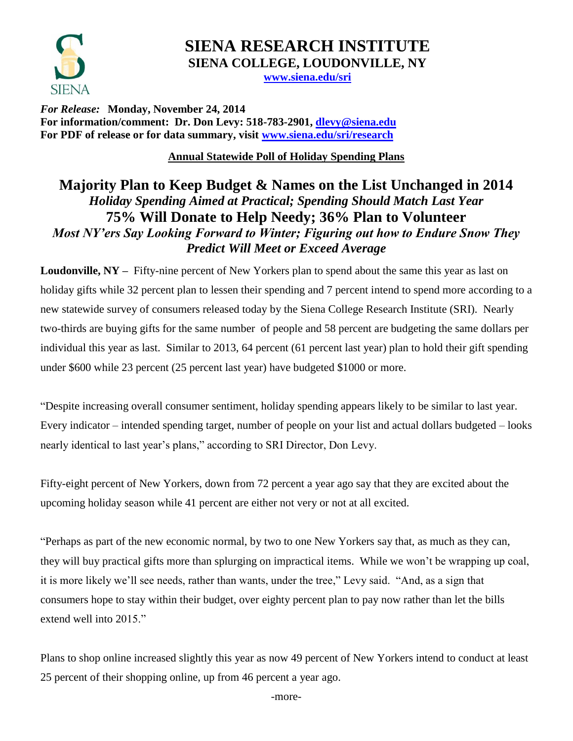

# **SIENA RESEARCH INSTITUTE SIENA COLLEGE, LOUDONVILLE, NY**

**[www.siena.edu/sri](http://www.siena.edu/sri)**

*For Release:* **Monday, November 24, 2014 For information/comment: Dr. Don Levy: 518-783-2901, [dlevy@siena.edu](mailto:dlevy@siena.edu) For PDF of release or for data summary, visit [www.siena.edu/sri/research](http://www.siena.edu/sri/research)**

**Annual Statewide Poll of Holiday Spending Plans**

### **Majority Plan to Keep Budget & Names on the List Unchanged in 2014** *Holiday Spending Aimed at Practical; Spending Should Match Last Year* **75% Will Donate to Help Needy; 36% Plan to Volunteer** *Most NY'ers Say Looking Forward to Winter; Figuring out how to Endure Snow They Predict Will Meet or Exceed Average*

**Loudonville, NY** – Fifty-nine percent of New Yorkers plan to spend about the same this year as last on holiday gifts while 32 percent plan to lessen their spending and 7 percent intend to spend more according to a new statewide survey of consumers released today by the Siena College Research Institute (SRI). Nearly two-thirds are buying gifts for the same number of people and 58 percent are budgeting the same dollars per individual this year as last. Similar to 2013, 64 percent (61 percent last year) plan to hold their gift spending under \$600 while 23 percent (25 percent last year) have budgeted \$1000 or more.

"Despite increasing overall consumer sentiment, holiday spending appears likely to be similar to last year. Every indicator – intended spending target, number of people on your list and actual dollars budgeted – looks nearly identical to last year's plans," according to SRI Director, Don Levy.

Fifty-eight percent of New Yorkers, down from 72 percent a year ago say that they are excited about the upcoming holiday season while 41 percent are either not very or not at all excited.

"Perhaps as part of the new economic normal, by two to one New Yorkers say that, as much as they can, they will buy practical gifts more than splurging on impractical items. While we won't be wrapping up coal, it is more likely we'll see needs, rather than wants, under the tree," Levy said. "And, as a sign that consumers hope to stay within their budget, over eighty percent plan to pay now rather than let the bills extend well into 2015."

Plans to shop online increased slightly this year as now 49 percent of New Yorkers intend to conduct at least 25 percent of their shopping online, up from 46 percent a year ago.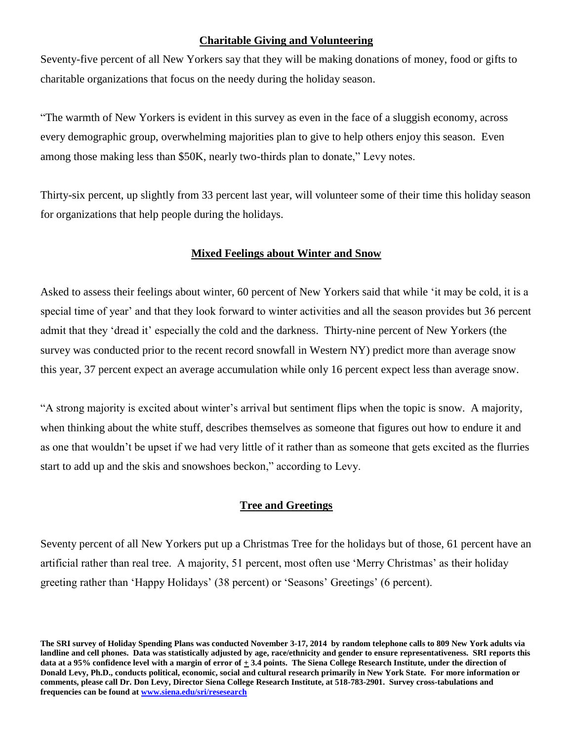#### **Charitable Giving and Volunteering**

Seventy-five percent of all New Yorkers say that they will be making donations of money, food or gifts to charitable organizations that focus on the needy during the holiday season.

"The warmth of New Yorkers is evident in this survey as even in the face of a sluggish economy, across every demographic group, overwhelming majorities plan to give to help others enjoy this season. Even among those making less than \$50K, nearly two-thirds plan to donate," Levy notes.

Thirty-six percent, up slightly from 33 percent last year, will volunteer some of their time this holiday season for organizations that help people during the holidays.

#### **Mixed Feelings about Winter and Snow**

Asked to assess their feelings about winter, 60 percent of New Yorkers said that while 'it may be cold, it is a special time of year' and that they look forward to winter activities and all the season provides but 36 percent admit that they 'dread it' especially the cold and the darkness. Thirty-nine percent of New Yorkers (the survey was conducted prior to the recent record snowfall in Western NY) predict more than average snow this year, 37 percent expect an average accumulation while only 16 percent expect less than average snow.

"A strong majority is excited about winter's arrival but sentiment flips when the topic is snow. A majority, when thinking about the white stuff, describes themselves as someone that figures out how to endure it and as one that wouldn't be upset if we had very little of it rather than as someone that gets excited as the flurries start to add up and the skis and snowshoes beckon," according to Levy.

#### **Tree and Greetings**

Seventy percent of all New Yorkers put up a Christmas Tree for the holidays but of those, 61 percent have an artificial rather than real tree. A majority, 51 percent, most often use 'Merry Christmas' as their holiday greeting rather than 'Happy Holidays' (38 percent) or 'Seasons' Greetings' (6 percent).

**The SRI survey of Holiday Spending Plans was conducted November 3-17, 2014 by random telephone calls to 809 New York adults via landline and cell phones. Data was statistically adjusted by age, race/ethnicity and gender to ensure representativeness. SRI reports this**  data at a 95% confidence level with a margin of error of  $\pm$  3.4 points. The Siena College Research Institute, under the direction of **Donald Levy, Ph.D., conducts political, economic, social and cultural research primarily in New York State. For more information or comments, please call Dr. Don Levy, Director Siena College Research Institute, at 518-783-2901. Survey cross-tabulations and frequencies can be found at [www.siena.edu/sri/resesearch](http://www.siena.edu/sri/resesearch)**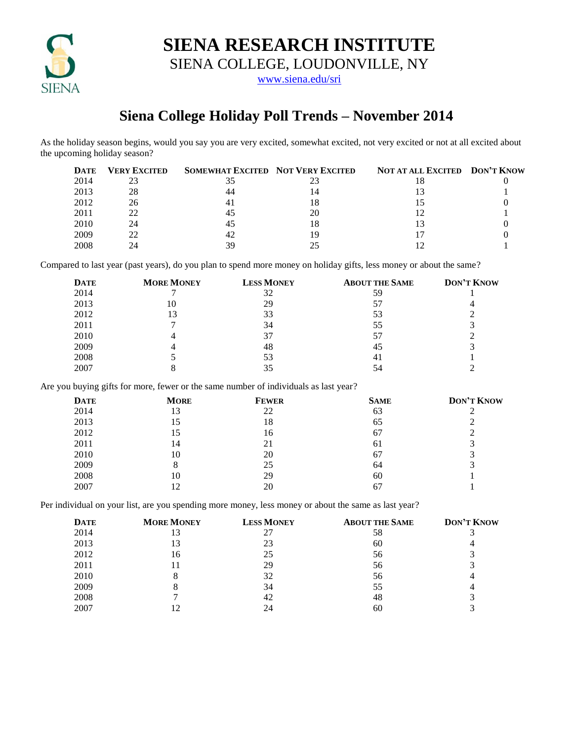

**SIENA RESEARCH INSTITUTE**

SIENA COLLEGE, LOUDONVILLE, NY

[www.siena.edu/sri](http://www.siena.edu/sri)

## **Siena College Holiday Poll Trends – November 2014**

As the holiday season begins, would you say you are very excited, somewhat excited, not very excited or not at all excited about the upcoming holiday season?

| <b>DATE</b> | <b>VERY EXCITED</b> | SOMEWHAT EXCITED NOT VERY EXCITED |    | NOT AT ALL EXCITED DON'T KNOW |  |
|-------------|---------------------|-----------------------------------|----|-------------------------------|--|
| 2014        | 23                  |                                   |    |                               |  |
| 2013        | 28                  |                                   |    |                               |  |
| 2012        | 26                  |                                   |    |                               |  |
| 2011        | 22                  | 40                                | 20 |                               |  |
| 2010        | 24                  | 45                                |    |                               |  |
| 2009        | 22                  | 42                                |    |                               |  |
| 2008        | 24                  | 39                                |    |                               |  |

Compared to last year (past years), do you plan to spend more money on holiday gifts, less money or about the same?

| <b>DATE</b> | <b>MORE MONEY</b> | <b>LESS MONEY</b> | <b>ABOUT THE SAME</b> | <b>DON'T KNOW</b> |
|-------------|-------------------|-------------------|-----------------------|-------------------|
| 2014        |                   | 32                | 59                    |                   |
| 2013        |                   | 29                | 57                    |                   |
| 2012        | 13                | 33                | 53                    |                   |
| 2011        |                   | 34                | 55                    |                   |
| 2010        |                   | 37                | 57                    |                   |
| 2009        |                   | 48                | 45                    |                   |
| 2008        |                   | 53                | 41                    |                   |
| 2007        |                   | 35                | 54                    |                   |

Are you buying gifts for more, fewer or the same number of individuals as last year?

| <b>DATE</b> | <b>MORE</b> | <b>FEWER</b> | <b>SAME</b> | <b>DON'T KNOW</b> |
|-------------|-------------|--------------|-------------|-------------------|
| 2014        | 13          | 22           | 63          |                   |
| 2013        | 15          | 18           | 65          |                   |
| 2012        | 15          | 16           | 67          |                   |
| 2011        | 14          | 21           | 61          |                   |
| 2010        | 10          | 20           | 67          |                   |
| 2009        | 8           | 25           | 64          |                   |
| 2008        | 10          | 29           | 60          |                   |
| 2007        | 12          | 20           | 67          |                   |

Per individual on your list, are you spending more money, less money or about the same as last year?

| <b>DATE</b> | <b>MORE MONEY</b> | <b>LESS MONEY</b> | <b>ABOUT THE SAME</b> | <b>DON'T KNOW</b> |
|-------------|-------------------|-------------------|-----------------------|-------------------|
| 2014        | 13                | 27                | 58                    |                   |
| 2013        | 13                | 23                | 60                    |                   |
| 2012        | 16                | 25                | 56                    |                   |
| 2011        | 11                | 29                | 56                    |                   |
| 2010        | 8                 | 32                | 56                    |                   |
| 2009        | 8                 | 34                | 55                    |                   |
| 2008        |                   | 42                | 48                    |                   |
| 2007        | 12                | 24                | 60                    |                   |
|             |                   |                   |                       |                   |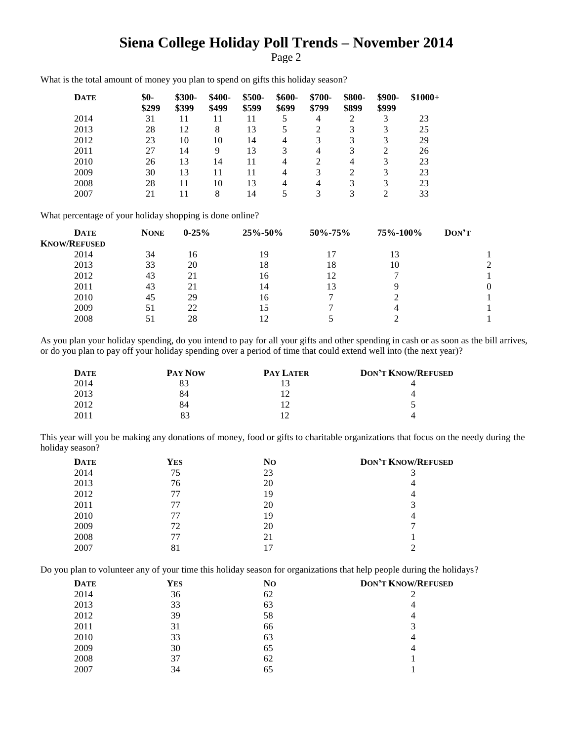## **Siena College Holiday Poll Trends – November 2014**

Page 2

| DATE | \$0-<br>\$299 | \$300-<br>\$399 | $$400-$<br>\$499 | \$500-<br>\$599 | $$600-$<br>\$699 | \$700-<br>\$799 | \$800-<br>\$899 | \$900-<br>\$999 | $$1000+$ |
|------|---------------|-----------------|------------------|-----------------|------------------|-----------------|-----------------|-----------------|----------|
| 2014 | 31            | 11              | 11               | 11              | 5                | 4               | 2               | 3               | 23       |
| 2013 | 28            | 12              | 8                | 13              |                  | 2               | 3               | 3               | 25       |
| 2012 | 23            | 10              | 10               | 14              | 4                | 3               | 3               | 3               | 29       |
| 2011 | 27            | 14              | 9                | 13              | 3                | 4               | 3               | 2               | 26       |
| 2010 | 26            | 13              | 14               | 11              | 4                | 2               | 4               | 3               | 23       |
| 2009 | 30            | 13              | 11               | 11              | 4                | 3               | 2               | 3               | 23       |
| 2008 | 28            | 11              | 10               | 13              | 4                | 4               | 3               | 3               | 23       |
| 2007 | 21            | 11              | 8                | 14              |                  | 3               |                 |                 | 33       |

What is the total amount of money you plan to spend on gifts this holiday season?

What percentage of your holiday shopping is done online?

| <b>DATE</b>         | <b>NONE</b> | $0 - 25%$ | 25%-50% | 50%-75% | 75%-100% | DON'T |
|---------------------|-------------|-----------|---------|---------|----------|-------|
| <b>KNOW/REFUSED</b> |             |           |         |         |          |       |
| 2014                | 34          | 16        | 19      |         | 13       |       |
| 2013                | 33          | 20        | 18      | 18      | 10       |       |
| 2012                | 43          | 21        | 16      | 12      |          |       |
| 2011                | 43          | 21        | 14      | 13      | Q        |       |
| 2010                | 45          | 29        | 16      |         |          |       |
| 2009                | 51          | 22        | 15      |         | 4        |       |
| 2008                |             | 28        | 12      |         |          |       |

As you plan your holiday spending, do you intend to pay for all your gifts and other spending in cash or as soon as the bill arrives, or do you plan to pay off your holiday spending over a period of time that could extend well into (the next year)?

| <b>DATE</b> | <b>PAY NOW</b> | <b>PAY LATER</b> | <b>DON'T KNOW/REFUSED</b> |
|-------------|----------------|------------------|---------------------------|
| 2014        | 83             |                  |                           |
| 2013        | 84             |                  |                           |
| 2012        | 84             |                  |                           |
| 2011        | 83             |                  |                           |

This year will you be making any donations of money, food or gifts to charitable organizations that focus on the needy during the holiday season?

| <b>DATE</b> | <b>YES</b> | N <sub>O</sub> | <b>DON'T KNOW/REFUSED</b> |
|-------------|------------|----------------|---------------------------|
| 2014        | 75         | 23             |                           |
| 2013        | 76         | 20             |                           |
| 2012        | 77         | 19             |                           |
| 2011        | 77         | 20             |                           |
| 2010        | 77         | 19             |                           |
| 2009        | 72         | 20             |                           |
| 2008        | 77         | 21             |                           |
| 2007        | 81         |                |                           |

Do you plan to volunteer any of your time this holiday season for organizations that help people during the holidays?

| <b>DATE</b> | YES | No | <b>DON'T KNOW/REFUSED</b> |
|-------------|-----|----|---------------------------|
| 2014        | 36  | 62 |                           |
| 2013        | 33  | 63 | 4                         |
| 2012        | 39  | 58 | 4                         |
| 2011        | 31  | 66 |                           |
| 2010        | 33  | 63 | 4                         |
| 2009        | 30  | 65 |                           |
| 2008        | 37  | 62 |                           |
| 2007        | 34  | 65 |                           |
|             |     |    |                           |